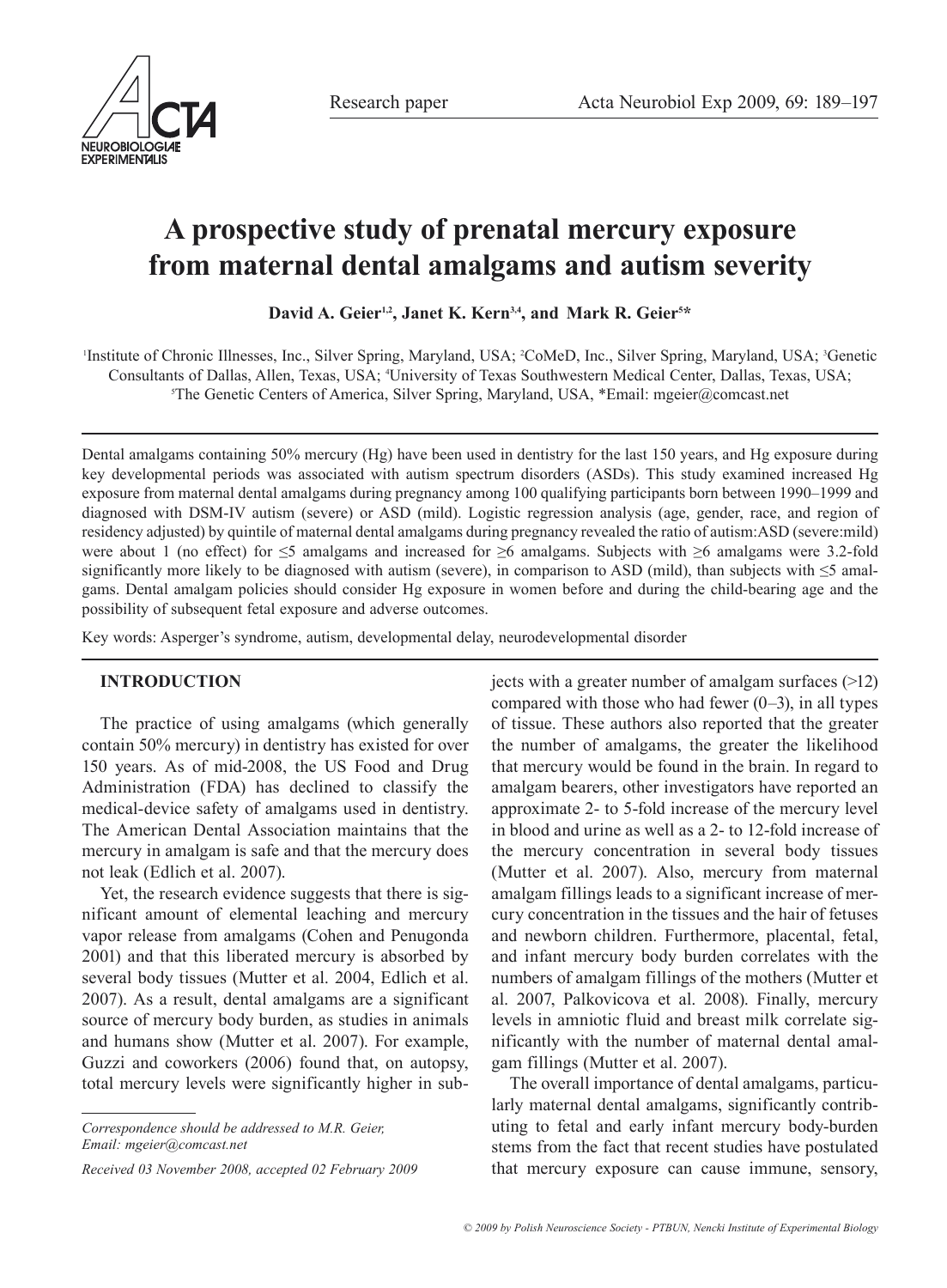

# **A prospective study of prenatal mercury exposure from maternal dental amalgams and autism severity**

David A. Geier<sup>1,2</sup>, Janet K. Kern<sup>3,4</sup>, and Mark R. Geier<sup>5\*</sup>

<sup>1</sup>Institute of Chronic Illnesses, Inc., Silver Spring, Maryland, USA; <sup>2</sup>CoMeD, Inc., Silver Spring, Maryland, USA; <sup>3</sup>Genetic Consultants of Dallas, Allen, Texas, USA; 4 University of Texas Southwestern Medical Center, Dallas, Texas, USA; 5 The Genetic Centers of America, Silver Spring, Maryland, USA, \*Email: mgeier@comcast.net

Dental amalgams containing 50% mercury (Hg) have been used in dentistry for the last 150 years, and Hg exposure during key developmental periods was associated with autism spectrum disorders (ASDs). This study examined increased Hg exposure from maternal dental amalgams during pregnancy among 100 qualifying participants born between 1990–1999 and diagnosed with DSM-IV autism (severe) or ASD (mild). Logistic regression analysis (age, gender, race, and region of residency adjusted) by quintile of maternal dental amalgams during pregnancy revealed the ratio of autism:ASD (severe:mild) were about 1 (no effect) for ≤5 amalgams and increased for ≥6 amalgams. Subjects with ≥6 amalgams were 3.2-fold significantly more likely to be diagnosed with autism (severe), in comparison to ASD (mild), than subjects with  $\leq$  amalgams. Dental amalgam policies should consider Hg exposure in women before and during the child-bearing age and the possibility of subsequent fetal exposure and adverse outcomes.

Key words: Asperger's syndrome, autism, developmental delay, neurodevelopmental disorder

## **INTRODUCTION**

The practice of using amalgams (which generally contain 50% mercury) in dentistry has existed for over 150 years. As of mid-2008, the US Food and Drug Administration (FDA) has declined to classify the medical-device safety of amalgams used in dentistry. The American Dental Association maintains that the mercury in amalgam is safe and that the mercury does not leak (Edlich et al. 2007).

Yet, the research evidence suggests that there is significant amount of elemental leaching and mercury vapor release from amalgams (Cohen and Penugonda 2001) and that this liberated mercury is absorbed by several body tissues (Mutter et al. 2004, Edlich et al. 2007). As a result, dental amalgams are a significant source of mercury body burden, as studies in animals and humans show (Mutter et al. 2007). For example, Guzzi and coworkers (2006) found that, on autopsy, total mercury levels were significantly higher in sub-

*Correspondence should be addressed to M.R. Geier, Email: mgeier@comcast.net*

*Received 03 November 2008, accepted 02 February 2009*

jects with a greater number of amalgam surfaces (>12) compared with those who had fewer  $(0-3)$ , in all types of tissue. These authors also reported that the greater the number of amalgams, the greater the likelihood that mercury would be found in the brain. In regard to amalgam bearers, other investigators have reported an approximate 2- to 5-fold increase of the mercury level in blood and urine as well as a 2- to 12-fold increase of the mercury concentration in several body tissues (Mutter et al. 2007). Also, mercury from maternal amalgam fillings leads to a significant increase of mercury concentration in the tissues and the hair of fetuses and newborn children. Furthermore, placental, fetal, and infant mercury body burden correlates with the numbers of amalgam fillings of the mothers (Mutter et al. 2007, Palkovicova et al. 2008). Finally, mercury levels in amniotic fluid and breast milk correlate significantly with the number of maternal dental amalgam fillings (Mutter et al. 2007).

The overall importance of dental amalgams, particularly maternal dental amalgams, significantly contributing to fetal and early infant mercury body-burden stems from the fact that recent studies have postulated that mercury exposure can cause immune, sensory,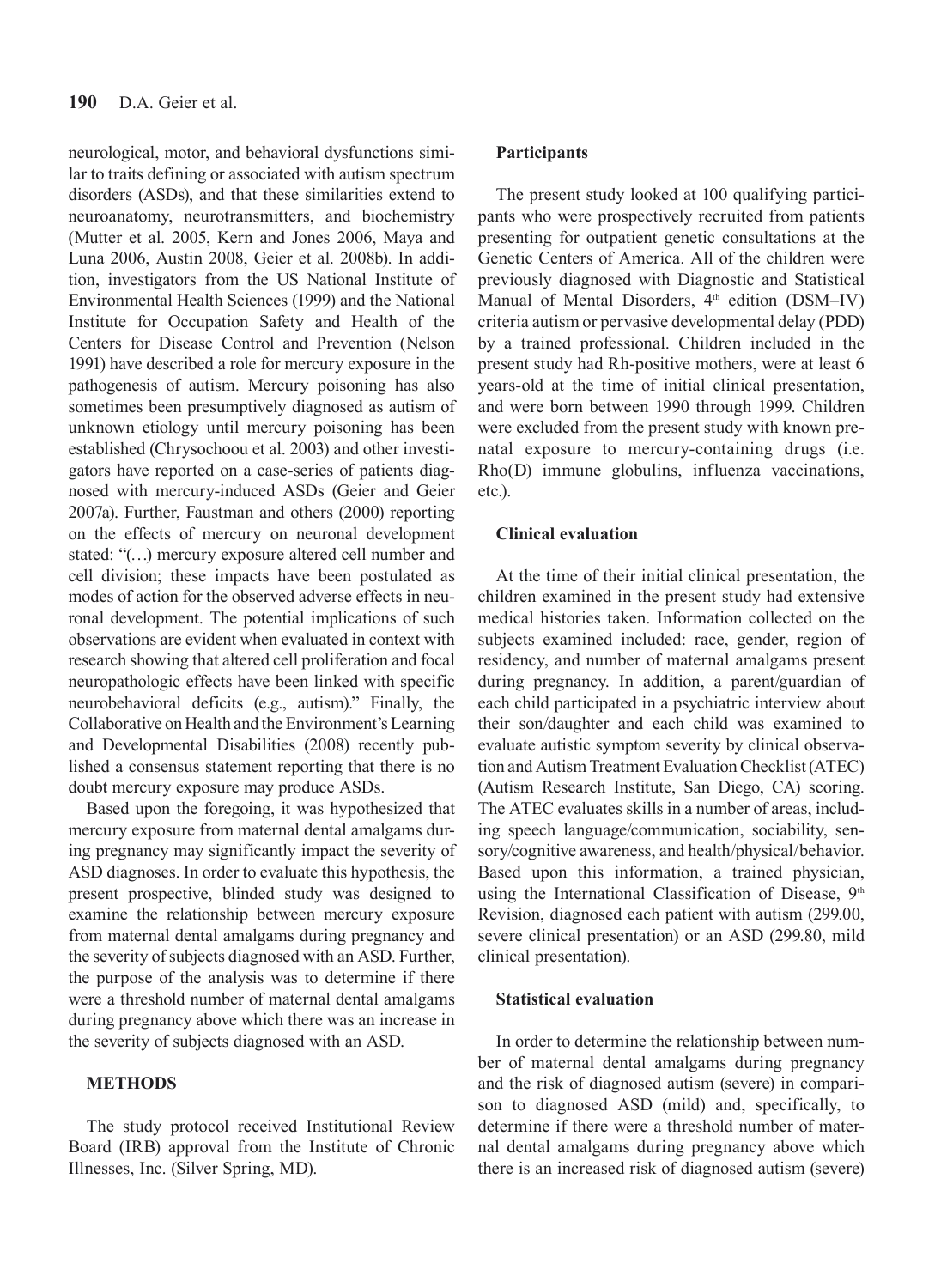neurological, motor, and behavioral dysfunctions similar to traits defining or associated with autism spectrum disorders (ASDs), and that these similarities extend to neuroanatomy, neurotransmitters, and biochemistry (Mutter et al. 2005, Kern and Jones 2006, Maya and Luna 2006, Austin 2008, Geier et al. 2008b). In addition, investigators from the US National Institute of Environmental Health Sciences (1999) and the National Institute for Occupation Safety and Health of the Centers for Disease Control and Prevention (Nelson 1991) have described a role for mercury exposure in the pathogenesis of autism. Mercury poisoning has also sometimes been presumptively diagnosed as autism of unknown etiology until mercury poisoning has been established (Chrysochoou et al. 2003) and other investigators have reported on a case-series of patients diagnosed with mercury-induced ASDs (Geier and Geier 2007a). Further, Faustman and others (2000) reporting on the effects of mercury on neuronal development stated: "(…) mercury exposure altered cell number and cell division; these impacts have been postulated as modes of action for the observed adverse effects in neuronal development. The potential implications of such observations are evident when evaluated in context with research showing that altered cell proliferation and focal neuropathologic effects have been linked with specific neurobehavioral deficits (e.g., autism)." Finally, the Collaborative on Health and the Environment's Learning and Developmental Disabilities (2008) recently published a consensus statement reporting that there is no doubt mercury exposure may produce ASDs.

Based upon the foregoing, it was hypothesized that mercury exposure from maternal dental amalgams during pregnancy may significantly impact the severity of ASD diagnoses. In order to evaluate this hypothesis, the present prospective, blinded study was designed to examine the relationship between mercury exposure from maternal dental amalgams during pregnancy and the severity of subjects diagnosed with an ASD. Further, the purpose of the analysis was to determine if there were a threshold number of maternal dental amalgams during pregnancy above which there was an increase in the severity of subjects diagnosed with an ASD.

## **METHODS**

The study protocol received Institutional Review Board (IRB) approval from the Institute of Chronic Illnesses, Inc. (Silver Spring, MD).

#### **Participants**

The present study looked at 100 qualifying participants who were prospectively recruited from patients presenting for outpatient genetic consultations at the Genetic Centers of America. All of the children were previously diagnosed with Diagnostic and Statistical Manual of Mental Disorders, 4<sup>th</sup> edition (DSM-IV) criteria autism or pervasive developmental delay (PDD) by a trained professional. Children included in the present study had Rh-positive mothers, were at least 6 years-old at the time of initial clinical presentation, and were born between 1990 through 1999. Children were excluded from the present study with known prenatal exposure to mercury-containing drugs (i.e. Rho(D) immune globulins, influenza vaccinations, etc.).

## **Clinical evaluation**

At the time of their initial clinical presentation, the children examined in the present study had extensive medical histories taken. Information collected on the subjects examined included: race, gender, region of residency, and number of maternal amalgams present during pregnancy. In addition, a parent/guardian of each child participated in a psychiatric interview about their son/daughter and each child was examined to evaluate autistic symptom severity by clinical observation and Autism Treatment Evaluation Checklist (ATEC) (Autism Research Institute, San Diego, CA) scoring. The ATEC evaluates skills in a number of areas, including speech language/communication, sociability, sensory/cognitive awareness, and health/physical/behavior. Based upon this information, a trained physician, using the International Classification of Disease, 9th Revision, diagnosed each patient with autism (299.00, severe clinical presentation) or an ASD (299.80, mild clinical presentation).

#### **Statistical evaluation**

In order to determine the relationship between number of maternal dental amalgams during pregnancy and the risk of diagnosed autism (severe) in comparison to diagnosed ASD (mild) and, specifically, to determine if there were a threshold number of maternal dental amalgams during pregnancy above which there is an increased risk of diagnosed autism (severe)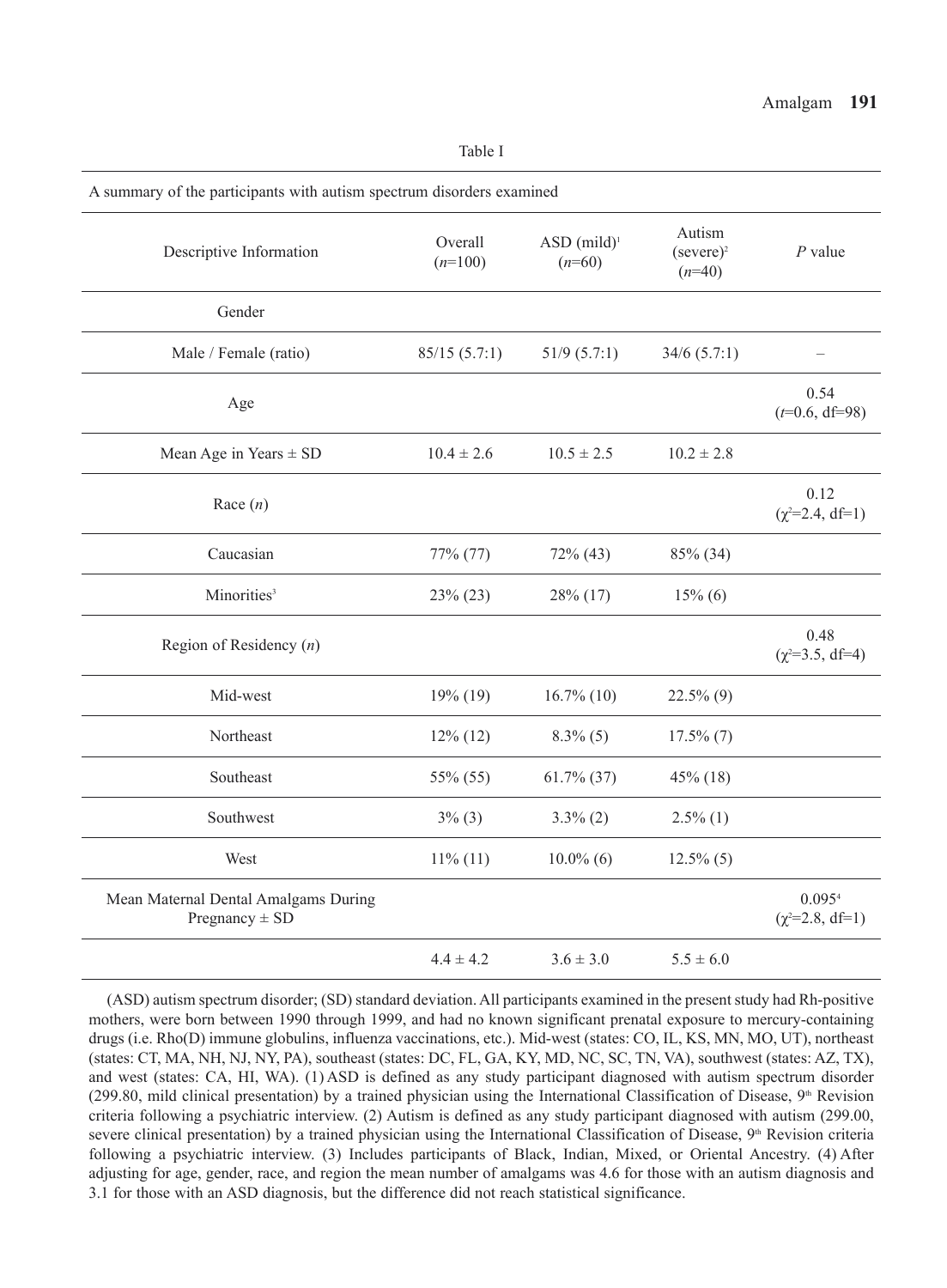| Table I                                                               |                      |                                       |                                    |                                |  |
|-----------------------------------------------------------------------|----------------------|---------------------------------------|------------------------------------|--------------------------------|--|
| A summary of the participants with autism spectrum disorders examined |                      |                                       |                                    |                                |  |
| Descriptive Information                                               | Overall<br>$(n=100)$ | $ASD$ (mild) <sup>1</sup><br>$(n=60)$ | Autism<br>$(severe)^2$<br>$(n=40)$ | $P$ value                      |  |
| Gender                                                                |                      |                                       |                                    |                                |  |
| Male / Female (ratio)                                                 | 85/15(5.7:1)         | $51/9$ (5.7:1)                        | $34/6$ (5.7:1)                     | $\overline{\phantom{0}}$       |  |
| Age                                                                   |                      |                                       |                                    | 0.54<br>$(t=0.6, df=98)$       |  |
| Mean Age in Years $\pm$ SD                                            | $10.4 \pm 2.6$       | $10.5 \pm 2.5$                        | $10.2 \pm 2.8$                     |                                |  |
| Race $(n)$                                                            |                      |                                       |                                    | 0.12<br>$(\chi^2=2.4, df=1)$   |  |
| Caucasian                                                             | 77% (77)             | $72\%$ (43)                           | 85% (34)                           |                                |  |
| Minorities <sup>3</sup>                                               | 23% (23)             | 28% (17)                              | $15\%$ (6)                         |                                |  |
| Region of Residency $(n)$                                             |                      |                                       |                                    | 0.48<br>$(\chi^2=3.5, df=4)$   |  |
| Mid-west                                                              | 19% (19)             | $16.7\%$ (10)                         | $22.5\%$ (9)                       |                                |  |
| Northeast                                                             | $12\%$ (12)          | $8.3\%$ (5)                           | $17.5\%$ $(7)$                     |                                |  |
| Southeast                                                             | 55% (55)             | $61.7\%$ (37)                         | 45% (18)                           |                                |  |
| Southwest                                                             | $3\%$ (3)            | $3.3\%$ (2)                           | $2.5\%$ (1)                        |                                |  |
| West                                                                  | $11\%$ (11)          | $10.0\%$ (6)                          | $12.5\%$ (5)                       |                                |  |
| Mean Maternal Dental Amalgams During<br>Pregnancy $\pm$ SD            |                      |                                       |                                    | 0.0954<br>$(\chi^2=2.8, df=1)$ |  |
|                                                                       | $4.4 \pm 4.2$        | $3.6 \pm 3.0$                         | $5.5 \pm 6.0$                      |                                |  |

(ASD) autism spectrum disorder; (SD) standard deviation. All participants examined in the present study had Rh-positive mothers, were born between 1990 through 1999, and had no known significant prenatal exposure to mercury-containing drugs (i.e. Rho(D) immune globulins, influenza vaccinations, etc.). Mid-west (states: CO, IL, KS, MN, MO, UT), northeast (states: CT, MA, NH, NJ, NY, PA), southeast (states: DC, FL, GA, KY, MD, NC, SC, TN, VA), southwest (states: AZ, TX), and west (states: CA, HI, WA). (1) ASD is defined as any study participant diagnosed with autism spectrum disorder (299.80, mild clinical presentation) by a trained physician using the International Classification of Disease,  $9<sup>th</sup>$  Revision criteria following a psychiatric interview. (2) Autism is defined as any study participant diagnosed with autism (299.00, severe clinical presentation) by a trained physician using the International Classification of Disease, 9<sup>th</sup> Revision criteria following a psychiatric interview. (3) Includes participants of Black, Indian, Mixed, or Oriental Ancestry. (4) After adjusting for age, gender, race, and region the mean number of amalgams was 4.6 for those with an autism diagnosis and 3.1 for those with an ASD diagnosis, but the difference did not reach statistical significance.

#### Amalgam **191**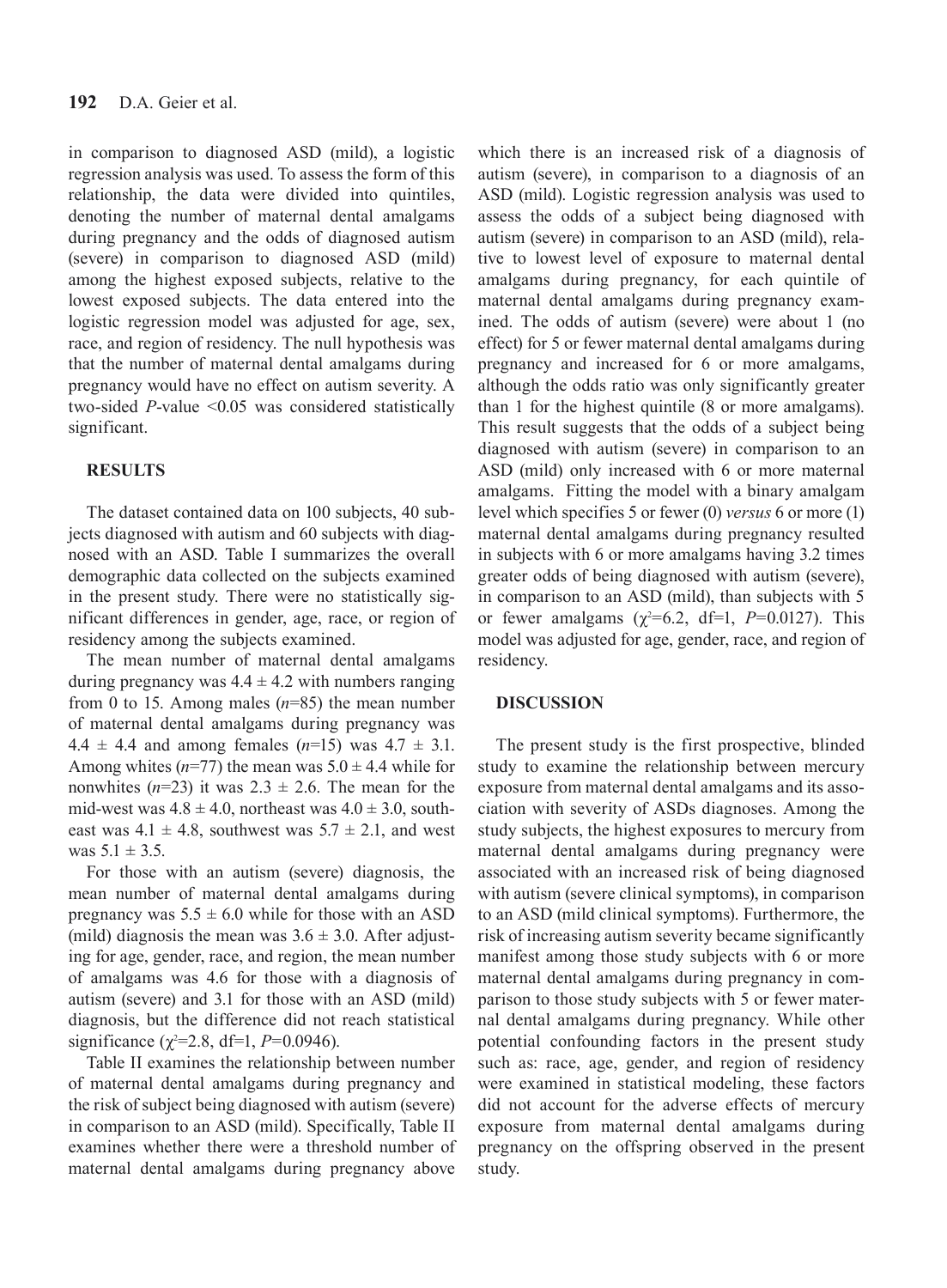in comparison to diagnosed ASD (mild), a logistic regression analysis was used. To assess the form of this relationship, the data were divided into quintiles, denoting the number of maternal dental amalgams during pregnancy and the odds of diagnosed autism (severe) in comparison to diagnosed ASD (mild) among the highest exposed subjects, relative to the lowest exposed subjects. The data entered into the logistic regression model was adjusted for age, sex, race, and region of residency. The null hypothesis was that the number of maternal dental amalgams during pregnancy would have no effect on autism severity. A two-sided *P*-value <0.05 was considered statistically significant.

#### **RESULTS**

The dataset contained data on 100 subjects, 40 subjects diagnosed with autism and 60 subjects with diagnosed with an ASD. Table I summarizes the overall demographic data collected on the subjects examined in the present study. There were no statistically significant differences in gender, age, race, or region of residency among the subjects examined.

The mean number of maternal dental amalgams during pregnancy was  $4.4 \pm 4.2$  with numbers ranging from 0 to 15. Among males (*n*=85) the mean number of maternal dental amalgams during pregnancy was  $4.4 \pm 4.4$  and among females  $(n=15)$  was  $4.7 \pm 3.1$ . Among whites  $(n=77)$  the mean was  $5.0 \pm 4.4$  while for nonwhites  $(n=23)$  it was  $2.3 \pm 2.6$ . The mean for the mid-west was  $4.8 \pm 4.0$ , northeast was  $4.0 \pm 3.0$ , southeast was  $4.1 \pm 4.8$ , southwest was  $5.7 \pm 2.1$ , and west was  $5.1 \pm 3.5$ .

For those with an autism (severe) diagnosis, the mean number of maternal dental amalgams during pregnancy was  $5.5 \pm 6.0$  while for those with an ASD (mild) diagnosis the mean was  $3.6 \pm 3.0$ . After adjusting for age, gender, race, and region, the mean number of amalgams was 4.6 for those with a diagnosis of autism (severe) and 3.1 for those with an ASD (mild) diagnosis, but the difference did not reach statistical significance  $(\chi^2=2.8, df=1, P=0.0946)$ .

Table II examines the relationship between number of maternal dental amalgams during pregnancy and the risk of subject being diagnosed with autism (severe) in comparison to an ASD (mild). Specifically, Table II examines whether there were a threshold number of maternal dental amalgams during pregnancy above

which there is an increased risk of a diagnosis of autism (severe), in comparison to a diagnosis of an ASD (mild). Logistic regression analysis was used to assess the odds of a subject being diagnosed with autism (severe) in comparison to an ASD (mild), relative to lowest level of exposure to maternal dental amalgams during pregnancy, for each quintile of maternal dental amalgams during pregnancy examined. The odds of autism (severe) were about 1 (no effect) for 5 or fewer maternal dental amalgams during pregnancy and increased for 6 or more amalgams, although the odds ratio was only significantly greater than 1 for the highest quintile (8 or more amalgams). This result suggests that the odds of a subject being diagnosed with autism (severe) in comparison to an ASD (mild) only increased with 6 or more maternal amalgams. Fitting the model with a binary amalgam level which specifies 5 or fewer (0) *versus* 6 or more (1) maternal dental amalgams during pregnancy resulted in subjects with 6 or more amalgams having 3.2 times greater odds of being diagnosed with autism (severe), in comparison to an ASD (mild), than subjects with 5 or fewer amalgams  $(\chi^2=6.2, df=1, P=0.0127)$ . This model was adjusted for age, gender, race, and region of residency.

## **DISCUSSION**

The present study is the first prospective, blinded study to examine the relationship between mercury exposure from maternal dental amalgams and its association with severity of ASDs diagnoses. Among the study subjects, the highest exposures to mercury from maternal dental amalgams during pregnancy were associated with an increased risk of being diagnosed with autism (severe clinical symptoms), in comparison to an ASD (mild clinical symptoms). Furthermore, the risk of increasing autism severity became significantly manifest among those study subjects with 6 or more maternal dental amalgams during pregnancy in comparison to those study subjects with 5 or fewer maternal dental amalgams during pregnancy. While other potential confounding factors in the present study such as: race, age, gender, and region of residency were examined in statistical modeling, these factors did not account for the adverse effects of mercury exposure from maternal dental amalgams during pregnancy on the offspring observed in the present study.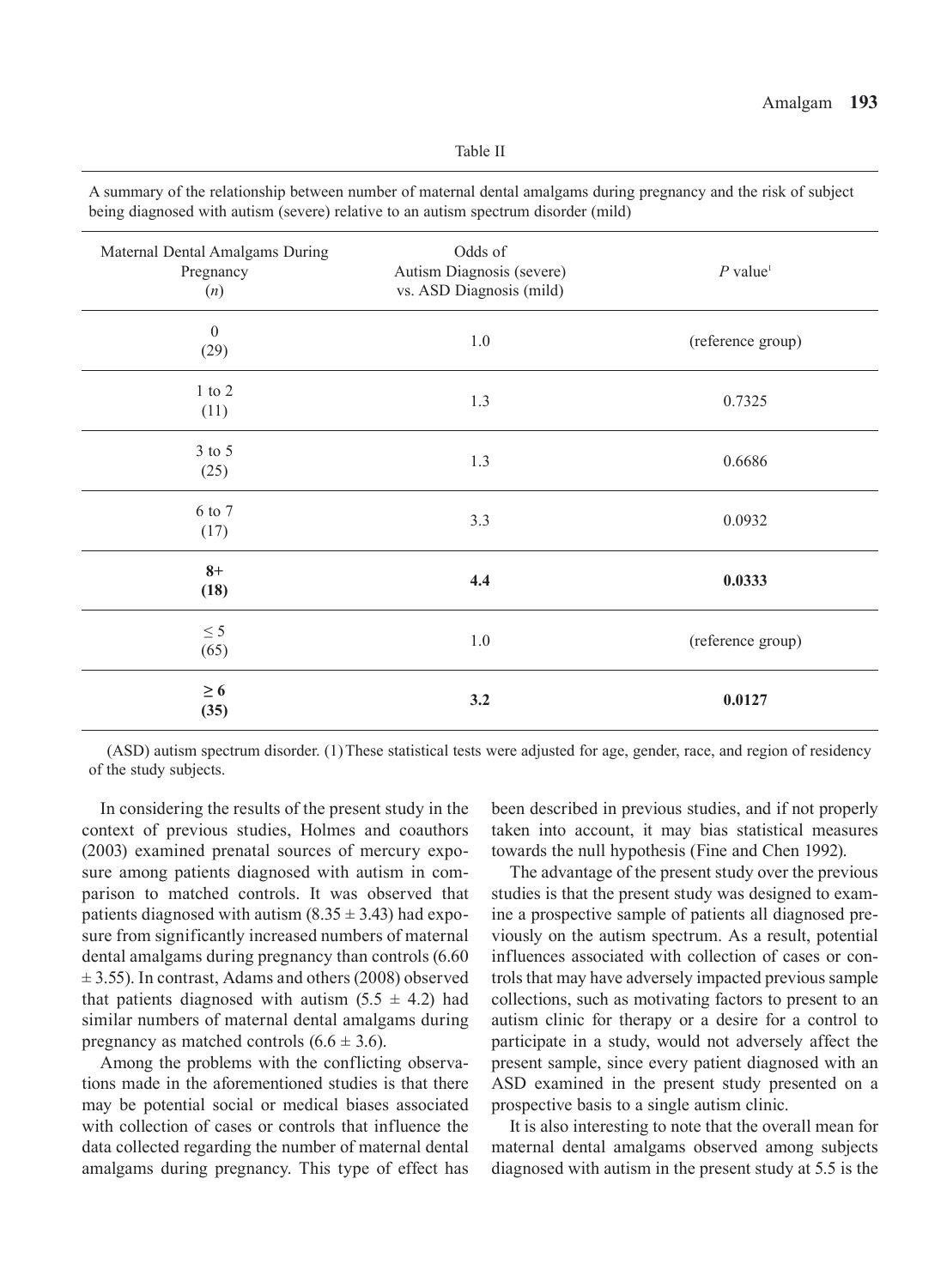| Maternal Dental Amalgams During<br>Pregnancy<br>(n) | Odds of<br>Autism Diagnosis (severe)<br>vs. ASD Diagnosis (mild) | $P$ value <sup>1</sup> |
|-----------------------------------------------------|------------------------------------------------------------------|------------------------|
| $\boldsymbol{0}$<br>(29)                            | $1.0\,$                                                          | (reference group)      |
| $1$ to $2$<br>(11)                                  | 1.3                                                              | 0.7325                 |
| 3 to 5<br>(25)                                      | 1.3                                                              | 0.6686                 |
| 6 to 7<br>(17)                                      | 3.3                                                              | 0.0932                 |
| $8+$<br>(18)                                        | 4.4                                                              | 0.0333                 |
| $\leq$ 5<br>(65)                                    | 1.0                                                              | (reference group)      |
| $\geq 6$<br>(35)                                    | 3.2                                                              | 0.0127                 |

A summary of the relationship between number of maternal dental amalgams during pregnancy and the risk of subject being diagnosed with autism (severe) relative to an autism spectrum disorder (mild)

(ASD) autism spectrum disorder. (1)These statistical tests were adjusted for age, gender, race, and region of residency of the study subjects.

In considering the results of the present study in the context of previous studies, Holmes and coauthors (2003) examined prenatal sources of mercury exposure among patients diagnosed with autism in comparison to matched controls. It was observed that patients diagnosed with autism  $(8.35 \pm 3.43)$  had exposure from significantly increased numbers of maternal dental amalgams during pregnancy than controls (6.60  $\pm$  3.55). In contrast, Adams and others (2008) observed that patients diagnosed with autism  $(5.5 \pm 4.2)$  had similar numbers of maternal dental amalgams during pregnancy as matched controls  $(6.6 \pm 3.6)$ .

Among the problems with the conflicting observations made in the aforementioned studies is that there may be potential social or medical biases associated with collection of cases or controls that influence the data collected regarding the number of maternal dental amalgams during pregnancy. This type of effect has

been described in previous studies, and if not properly taken into account, it may bias statistical measures towards the null hypothesis (Fine and Chen 1992).

The advantage of the present study over the previous studies is that the present study was designed to examine a prospective sample of patients all diagnosed previously on the autism spectrum. As a result, potential influences associated with collection of cases or controls that may have adversely impacted previous sample collections, such as motivating factors to present to an autism clinic for therapy or a desire for a control to participate in a study, would not adversely affect the present sample, since every patient diagnosed with an ASD examined in the present study presented on a prospective basis to a single autism clinic.

It is also interesting to note that the overall mean for maternal dental amalgams observed among subjects diagnosed with autism in the present study at 5.5 is the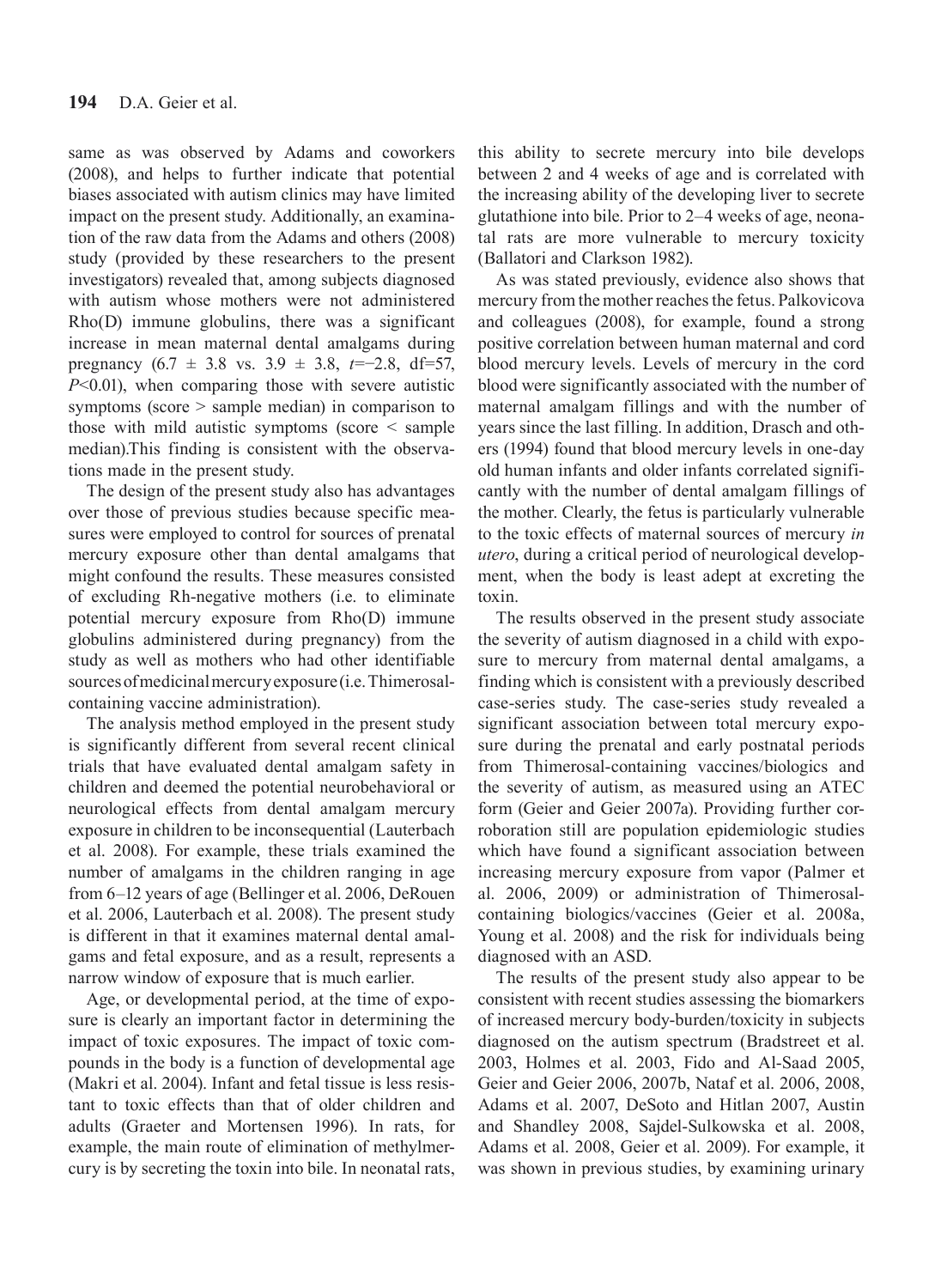same as was observed by Adams and coworkers (2008), and helps to further indicate that potential biases associated with autism clinics may have limited impact on the present study. Additionally, an examination of the raw data from the Adams and others (2008) study (provided by these researchers to the present investigators) revealed that, among subjects diagnosed with autism whose mothers were not administered Rho(D) immune globulins, there was a significant increase in mean maternal dental amalgams during pregnancy (6.7 ± 3.8 vs. 3.9 ± 3.8, *t*=−2.8, df=57, *P*<0.01), when comparing those with severe autistic symptoms (score > sample median) in comparison to those with mild autistic symptoms (score < sample median).This finding is consistent with the observations made in the present study.

The design of the present study also has advantages over those of previous studies because specific measures were employed to control for sources of prenatal mercury exposure other than dental amalgams that might confound the results. These measures consisted of excluding Rh-negative mothers (i.e. to eliminate potential mercury exposure from Rho(D) immune globulins administered during pregnancy) from the study as well as mothers who had other identifiable sources of medicinal mercury exposure (i.e. Thimerosalcontaining vaccine administration).

The analysis method employed in the present study is significantly different from several recent clinical trials that have evaluated dental amalgam safety in children and deemed the potential neurobehavioral or neurological effects from dental amalgam mercury exposure in children to be inconsequential (Lauterbach et al. 2008). For example, these trials examined the number of amalgams in the children ranging in age from 6–12 years of age (Bellinger et al. 2006, DeRouen et al. 2006, Lauterbach et al. 2008). The present study is different in that it examines maternal dental amalgams and fetal exposure, and as a result, represents a narrow window of exposure that is much earlier.

Age, or developmental period, at the time of exposure is clearly an important factor in determining the impact of toxic exposures. The impact of toxic compounds in the body is a function of developmental age (Makri et al. 2004). Infant and fetal tissue is less resistant to toxic effects than that of older children and adults (Graeter and Mortensen 1996). In rats, for example, the main route of elimination of methylmercury is by secreting the toxin into bile. In neonatal rats, this ability to secrete mercury into bile develops between 2 and 4 weeks of age and is correlated with the increasing ability of the developing liver to secrete glutathione into bile. Prior to 2–4 weeks of age, neonatal rats are more vulnerable to mercury toxicity (Ballatori and Clarkson 1982).

As was stated previously, evidence also shows that mercury from the mother reaches the fetus. Palkovicova and colleagues (2008), for example, found a strong positive correlation between human maternal and cord blood mercury levels. Levels of mercury in the cord blood were significantly associated with the number of maternal amalgam fillings and with the number of years since the last filling. In addition, Drasch and others (1994) found that blood mercury levels in one-day old human infants and older infants correlated significantly with the number of dental amalgam fillings of the mother. Clearly, the fetus is particularly vulnerable to the toxic effects of maternal sources of mercury *in utero*, during a critical period of neurological development, when the body is least adept at excreting the toxin.

The results observed in the present study associate the severity of autism diagnosed in a child with exposure to mercury from maternal dental amalgams, a finding which is consistent with a previously described case-series study. The case-series study revealed a significant association between total mercury exposure during the prenatal and early postnatal periods from Thimerosal-containing vaccines/biologics and the severity of autism, as measured using an ATEC form (Geier and Geier 2007a). Providing further corroboration still are population epidemiologic studies which have found a significant association between increasing mercury exposure from vapor (Palmer et al. 2006, 2009) or administration of Thimerosalcontaining biologics/vaccines (Geier et al. 2008a, Young et al. 2008) and the risk for individuals being diagnosed with an ASD.

The results of the present study also appear to be consistent with recent studies assessing the biomarkers of increased mercury body-burden/toxicity in subjects diagnosed on the autism spectrum (Bradstreet et al. 2003, Holmes et al. 2003, Fido and Al-Saad 2005, Geier and Geier 2006, 2007b, Nataf et al. 2006, 2008, Adams et al. 2007, DeSoto and Hitlan 2007, Austin and Shandley 2008, Sajdel-Sulkowska et al. 2008, Adams et al. 2008, Geier et al. 2009). For example, it was shown in previous studies, by examining urinary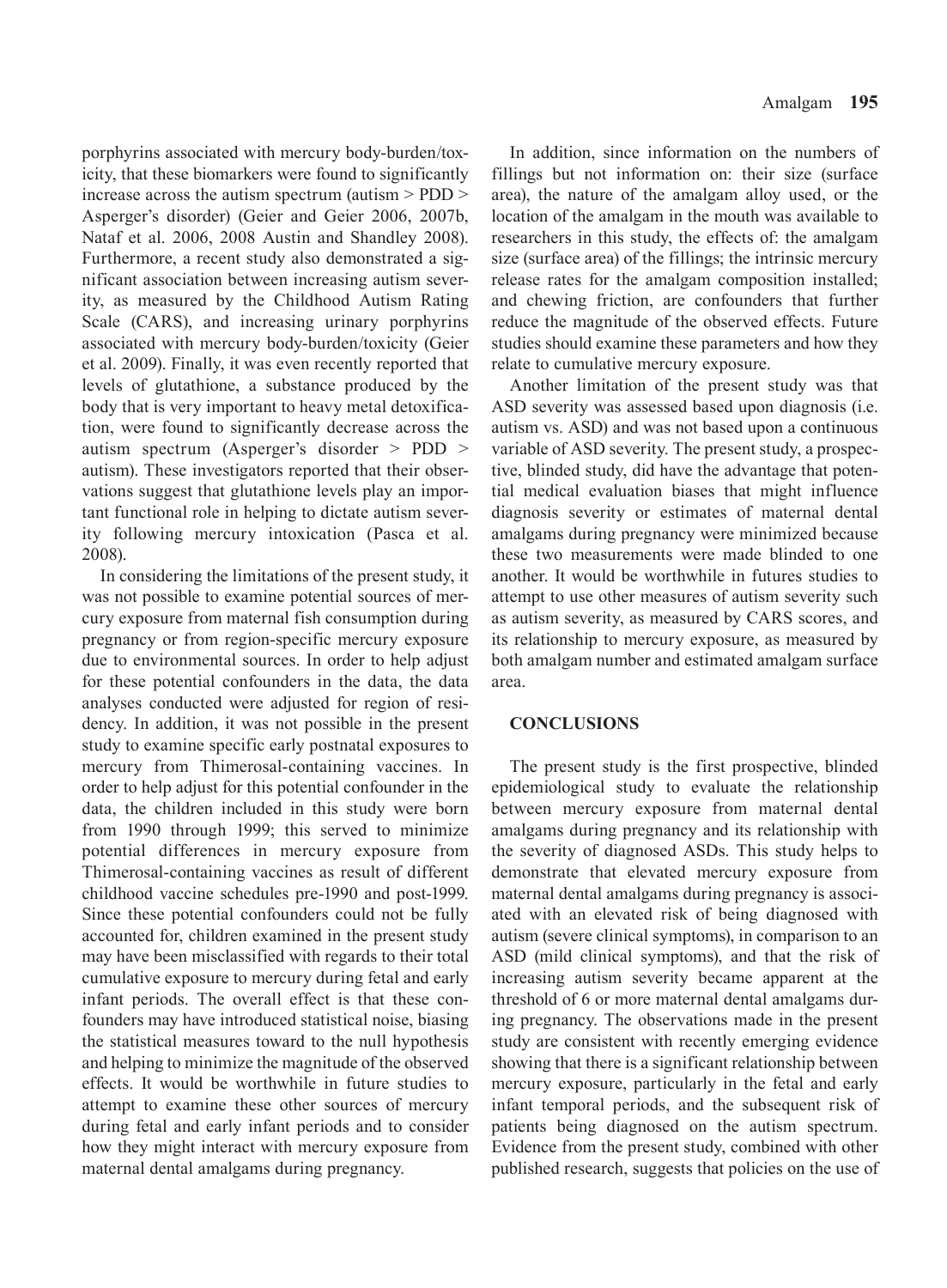porphyrins associated with mercury body-burden/toxicity, that these biomarkers were found to significantly increase across the autism spectrum (autism > PDD > Asperger's disorder) (Geier and Geier 2006, 2007b, Nataf et al. 2006, 2008 Austin and Shandley 2008). Furthermore, a recent study also demonstrated a significant association between increasing autism severity, as measured by the Childhood Autism Rating Scale (CARS), and increasing urinary porphyrins associated with mercury body-burden/toxicity (Geier et al. 2009). Finally, it was even recently reported that levels of glutathione, a substance produced by the body that is very important to heavy metal detoxification, were found to significantly decrease across the autism spectrum (Asperger's disorder > PDD > autism). These investigators reported that their observations suggest that glutathione levels play an important functional role in helping to dictate autism severity following mercury intoxication (Pasca et al. 2008).

In considering the limitations of the present study, it was not possible to examine potential sources of mercury exposure from maternal fish consumption during pregnancy or from region-specific mercury exposure due to environmental sources. In order to help adjust for these potential confounders in the data, the data analyses conducted were adjusted for region of residency. In addition, it was not possible in the present study to examine specific early postnatal exposures to mercury from Thimerosal-containing vaccines. In order to help adjust for this potential confounder in the data, the children included in this study were born from 1990 through 1999; this served to minimize potential differences in mercury exposure from Thimerosal-containing vaccines as result of different childhood vaccine schedules pre-1990 and post-1999. Since these potential confounders could not be fully accounted for, children examined in the present study may have been misclassified with regards to their total cumulative exposure to mercury during fetal and early infant periods. The overall effect is that these confounders may have introduced statistical noise, biasing the statistical measures toward to the null hypothesis and helping to minimize the magnitude of the observed effects. It would be worthwhile in future studies to attempt to examine these other sources of mercury during fetal and early infant periods and to consider how they might interact with mercury exposure from maternal dental amalgams during pregnancy.

In addition, since information on the numbers of fillings but not information on: their size (surface area), the nature of the amalgam alloy used, or the location of the amalgam in the mouth was available to researchers in this study, the effects of: the amalgam size (surface area) of the fillings; the intrinsic mercury release rates for the amalgam composition installed; and chewing friction, are confounders that further reduce the magnitude of the observed effects. Future studies should examine these parameters and how they relate to cumulative mercury exposure.

Another limitation of the present study was that ASD severity was assessed based upon diagnosis (i.e. autism vs. ASD) and was not based upon a continuous variable of ASD severity. The present study, a prospective, blinded study, did have the advantage that potential medical evaluation biases that might influence diagnosis severity or estimates of maternal dental amalgams during pregnancy were minimized because these two measurements were made blinded to one another. It would be worthwhile in futures studies to attempt to use other measures of autism severity such as autism severity, as measured by CARS scores, and its relationship to mercury exposure, as measured by both amalgam number and estimated amalgam surface area.

#### **CONCLUSIONS**

The present study is the first prospective, blinded epidemiological study to evaluate the relationship between mercury exposure from maternal dental amalgams during pregnancy and its relationship with the severity of diagnosed ASDs. This study helps to demonstrate that elevated mercury exposure from maternal dental amalgams during pregnancy is associated with an elevated risk of being diagnosed with autism (severe clinical symptoms), in comparison to an ASD (mild clinical symptoms), and that the risk of increasing autism severity became apparent at the threshold of 6 or more maternal dental amalgams during pregnancy. The observations made in the present study are consistent with recently emerging evidence showing that there is a significant relationship between mercury exposure, particularly in the fetal and early infant temporal periods, and the subsequent risk of patients being diagnosed on the autism spectrum. Evidence from the present study, combined with other published research, suggests that policies on the use of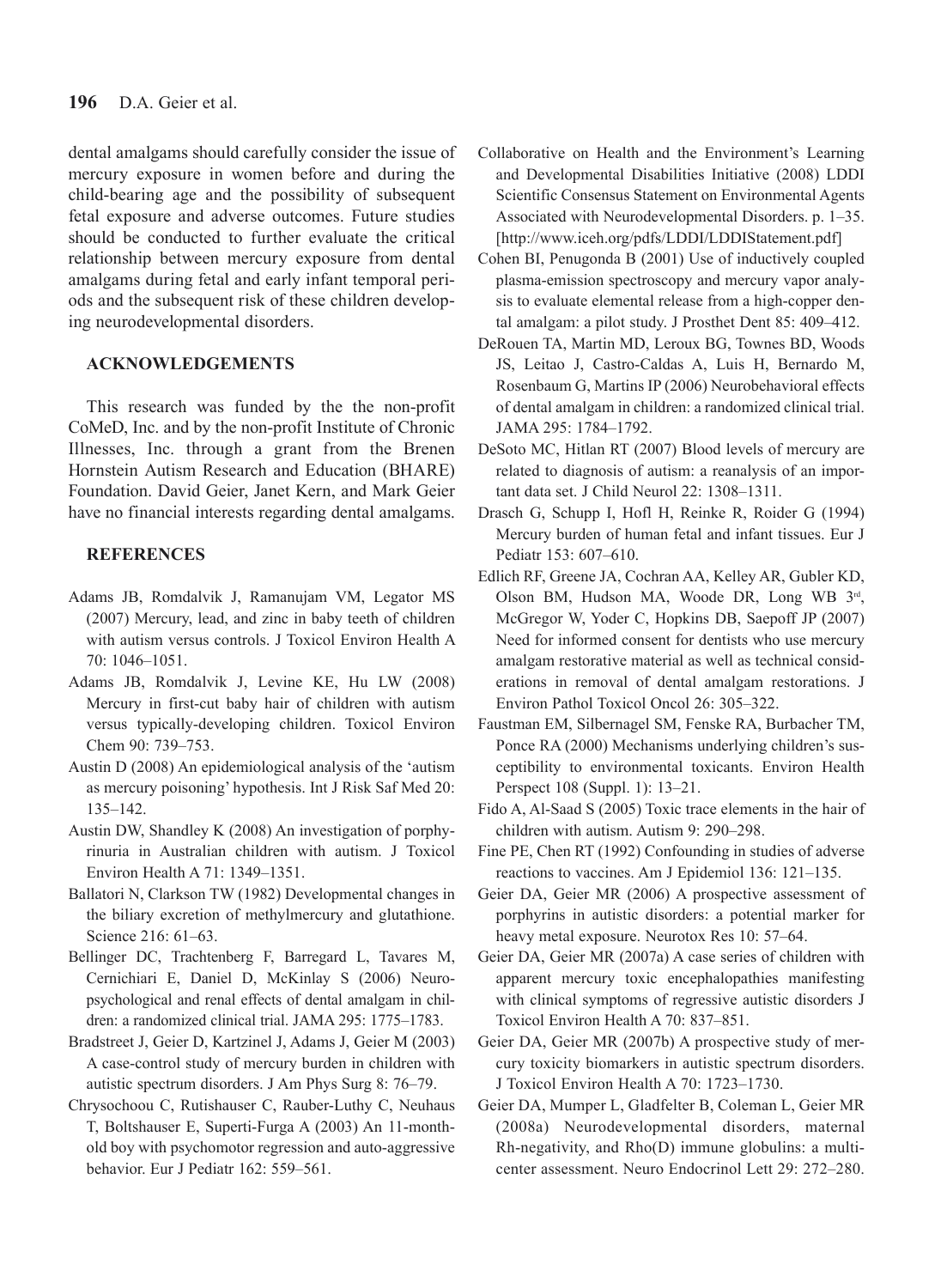dental amalgams should carefully consider the issue of mercury exposure in women before and during the child-bearing age and the possibility of subsequent fetal exposure and adverse outcomes. Future studies should be conducted to further evaluate the critical relationship between mercury exposure from dental amalgams during fetal and early infant temporal periods and the subsequent risk of these children developing neurodevelopmental disorders.

## **ACKNOWLEDGEMENTS**

This research was funded by the the non-profit CoMeD, Inc. and by the non-profit Institute of Chronic Illnesses, Inc. through a grant from the Brenen Hornstein Autism Research and Education (BHARE) Foundation. David Geier, Janet Kern, and Mark Geier have no financial interests regarding dental amalgams.

## **REFERENCES**

- Adams JB, Romdalvik J, Ramanujam VM, Legator MS (2007) Mercury, lead, and zinc in baby teeth of children with autism versus controls. J Toxicol Environ Health A 70: 1046–1051.
- Adams JB, Romdalvik J, Levine KE, Hu LW (2008) Mercury in first-cut baby hair of children with autism versus typically-developing children. Toxicol Environ Chem 90: 739–753.
- Austin D (2008) An epidemiological analysis of the 'autism as mercury poisoning' hypothesis. Int J Risk Saf Med 20: 135–142.
- Austin DW, Shandley K (2008) An investigation of porphyrinuria in Australian children with autism. J Toxicol Environ Health A 71: 1349–1351.
- Ballatori N, Clarkson TW (1982) Developmental changes in the biliary excretion of methylmercury and glutathione. Science 216: 61–63.
- Bellinger DC, Trachtenberg F, Barregard L, Tavares M, Cernichiari E, Daniel D, McKinlay S (2006) Neuropsychological and renal effects of dental amalgam in children: a randomized clinical trial. JAMA 295: 1775–1783.
- Bradstreet J, Geier D, Kartzinel J, Adams J, Geier M (2003) A case-control study of mercury burden in children with autistic spectrum disorders. J Am Phys Surg 8: 76–79.
- Chrysochoou C, Rutishauser C, Rauber-Luthy C, Neuhaus T, Boltshauser E, Superti-Furga A (2003) An 11-monthold boy with psychomotor regression and auto-aggressive behavior. Eur J Pediatr 162: 559–561.
- Collaborative on Health and the Environment's Learning and Developmental Disabilities Initiative (2008) LDDI Scientific Consensus Statement on Environmental Agents Associated with Neurodevelopmental Disorders. p. 1–35. [http://www.iceh.org/pdfs/LDDI/LDDIStatement.pdf]
- Cohen BI, Penugonda B (2001) Use of inductively coupled plasma-emission spectroscopy and mercury vapor analysis to evaluate elemental release from a high-copper dental amalgam: a pilot study. J Prosthet Dent 85: 409–412.
- DeRouen TA, Martin MD, Leroux BG, Townes BD, Woods JS, Leitao J, Castro-Caldas A, Luis H, Bernardo M, Rosenbaum G, Martins IP (2006) Neurobehavioral effects of dental amalgam in children: a randomized clinical trial. JAMA 295: 1784–1792.
- DeSoto MC, Hitlan RT (2007) Blood levels of mercury are related to diagnosis of autism: a reanalysis of an important data set. J Child Neurol 22: 1308–1311.
- Drasch G, Schupp I, Hofl H, Reinke R, Roider G (1994) Mercury burden of human fetal and infant tissues. Eur J Pediatr 153: 607–610.
- Edlich RF, Greene JA, Cochran AA, Kelley AR, Gubler KD, Olson BM, Hudson MA, Woode DR, Long WB 3rd, McGregor W, Yoder C, Hopkins DB, Saepoff JP (2007) Need for informed consent for dentists who use mercury amalgam restorative material as well as technical considerations in removal of dental amalgam restorations. J Environ Pathol Toxicol Oncol 26: 305–322.
- Faustman EM, Silbernagel SM, Fenske RA, Burbacher TM, Ponce RA (2000) Mechanisms underlying children's susceptibility to environmental toxicants. Environ Health Perspect 108 (Suppl. 1): 13–21.
- Fido A, Al-Saad S (2005) Toxic trace elements in the hair of children with autism. Autism 9: 290–298.
- Fine PE, Chen RT (1992) Confounding in studies of adverse reactions to vaccines. Am J Epidemiol 136: 121–135.
- Geier DA, Geier MR (2006) A prospective assessment of porphyrins in autistic disorders: a potential marker for heavy metal exposure. Neurotox Res 10: 57–64.
- Geier DA, Geier MR (2007a) A case series of children with apparent mercury toxic encephalopathies manifesting with clinical symptoms of regressive autistic disorders J Toxicol Environ Health A 70: 837–851.
- Geier DA, Geier MR (2007b) A prospective study of mercury toxicity biomarkers in autistic spectrum disorders. J Toxicol Environ Health A 70: 1723–1730.
- Geier DA, Mumper L, Gladfelter B, Coleman L, Geier MR (2008a) Neurodevelopmental disorders, maternal Rh-negativity, and Rho(D) immune globulins: a multicenter assessment. Neuro Endocrinol Lett 29: 272–280.